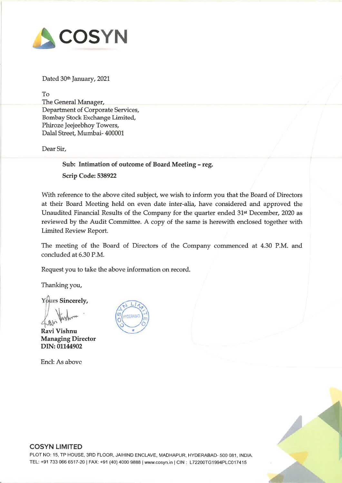

Dated 30<sup>th</sup> January, 2021

To The General Manager, Department of Corporate Services, Bombay Stock Exchange Limited, Phiroze Jeejeebhoy Towers, Dalal Street, Mumbai- <sup>400001</sup>

Dear Sir,

Sub: Intimation of outcome of Board Meeting - reg. Scrip Code: <sup>538922</sup>

With reference to the above cited subject, we wish to inform you that the Board of Directors at their Board Meeting held on even date inter-alia, have considered and approved the Unaudited Financial Results of the Company for the quarter ended 31st December, <sup>2020</sup> as reviewed by the Audit Committee. <sup>A</sup> copy of the same is herewith enclosed together with Limited Review Report.

The meeting of the Board of Directors of the Company commenced at 4.30 P.M. and concluded at 6.30 P.M.

Request you to take the above information on record.

Thanking you,

Yours Sincerely,

 $\bigvee$ 

Ravi Vishnu Managing Director DIN: 01144902

Encl: As above





# COSYN LIMITED

PLOT NO: 15, TP HOUSE, 3RD FLOOR, JAIHIND ENCLAVE, MADHAPUR, HYDERABAD- <sup>500</sup> 081, INDIA. TEL: +91 733 066 6517-20 | FAX: +91 (40) 4000 9888 | www.cosyn.in | CIN: L72200TG1994PLC017415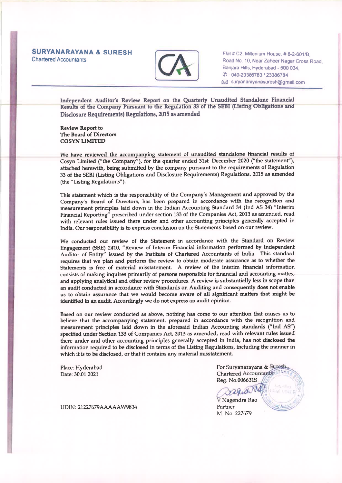### SURYANARAYANA & SURESH Chartered Accountants



Flat # C2, Millenium House, # 8-2-601/B Road No. 10. Near Zaheer Nagar Cross Road. Banjara Hills. Hyderabad - <sup>500</sup> 034, (/) 040-23386783 <sup>I</sup> 23386784 1BJ:suryanarayanasuresh@gmai1.com

Independent Auditor's Review Report on the Quarterly Unaudited Standalone Financial Results of the Company Pursuant to the Regulation 33 of the SEBI (Listing Obligations and Disclosure Requirements) Regulations, 2015 as amended

Review Report to The Board of Directors COSYN LIMITED

We have reviewed the accompanying statement of unaudited standalone financial results of Cosyn Limited ("the Company"), for the quarter ended 31st December <sup>2020</sup> ("the statement"), attached herewith, being submitted by the company pursuan<sup>t</sup> to the requirements of Regulation <sup>33</sup> of the SEBI (Listing Obligations and Disclosure Requirements) Regulations, <sup>2015</sup> as amended (the "Listing Regulations").

This statement which is the responsibility of the Company's Management and approve<sup>d</sup> by the Company's Board of Directors, has been prepare<sup>d</sup> in accordance with the recognition and measurement principles laid down in the Indian Accounting Standard <sup>34</sup> (Ind AS 34) "Interim Financial Reporting" prescribed under section <sup>133</sup> of the Companies Act, <sup>2013</sup> as amended, read with relevant rules issued there under and other accounting principles generally accepted in India. Our responsibility is to express conclusion on the Statements based on our review.

We conducted our review of the Statement in accordance with the Standard on Review Engagement (SRE) 2410, "Review of Interim Financial information performed by Independent Auditor of Entity" issued by the Institute of Chartered Accountants of India. This standard requires that we <sup>p</sup>lan and perform the review to obtain moderate assurance as to whether the Statements is free of material misstatement <sup>A</sup> review of the interim financial information consists of making inquires primarily of persons responsible for financial and accounting mattes, and applying analytical and other review procedures. <sup>A</sup> review is substantially less in scope than an audit conducted in accordance with Standards on Auditing and consequently does not enable us to obtain assurance that we would become aware of all significant matters that might be identified in an audit Accordingly we do not express an audit opinion.

Based on our review conducted as above, nothing has come to our attention that causes us to believe that the accompanying statement, prepared in accordance with the recognition and measurement principles laid down in the aforesaid Indian Accounting standards ("Ind AS") specified under Section <sup>133</sup> of Companies Act, <sup>2013</sup> as amended, read with relevant rules issued there under and other accounting principles generally accepted in India, has not disclosed the information required to be disclosed in terms of the Listing Regulations, including the manner in which it is to be disclosed, or that it contains any material misstatement.

Place: Hyderabad Date: 30.01.2021

For Suryanarayana & Suresh. Chartered Accountants Reg. No.006631S

*Rafid* **Partner** M. No. 227679

UDIN: 21227679AAAAAW9834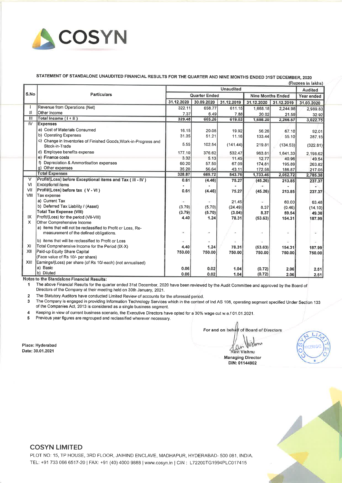

## STATEMENT OF STANDALONE UNAUDITED FINANCIAL RESULTS FOR THE QUARTER AND NINE MONTHS ENDED 31ST DECEMBER, 2020

|        | (Rupees in lakhs)                                                                                        |                      |            |            |                          |            |                |  |  |
|--------|----------------------------------------------------------------------------------------------------------|----------------------|------------|------------|--------------------------|------------|----------------|--|--|
|        | <b>Particulars</b>                                                                                       | <b>Unaudited</b>     |            |            |                          |            | <b>Audited</b> |  |  |
| S.No   |                                                                                                          | <b>Quarter Ended</b> |            |            | <b>Nine Months Ended</b> |            | Year ended     |  |  |
|        |                                                                                                          | 31.12.2020           | 30.09.2020 | 31.12.2019 | 31.12.2020               | 31.12.2019 | 31.03.2020     |  |  |
|        | Revenue from Operations (Net)                                                                            | 322.11               | 658.77     | 611.15     | 1,668.18                 | 2,244.98   | 2,989.83       |  |  |
| H      | Other Income                                                                                             | 7.37                 | 6.49       | 7.88       | 20.02                    | 21.59      | 32.92          |  |  |
| III    | Total Income (1+II)                                                                                      | 329.48               | 665.26     | 619.03     | 1,688.20                 | 2,266.57   | 3,022.75       |  |  |
| ĪV.    | <b>Expenses</b>                                                                                          |                      |            |            |                          |            |                |  |  |
|        | a) Cost of Materials Consumed                                                                            | 16.15                | 20.08      | 19.92      | 56.26                    | 67.10      | 92.01          |  |  |
|        | b) Operating Expenses                                                                                    | 31.35                | 51.21      | 11.16      | 133.44                   | 55.10      | 287.15         |  |  |
|        | c) Change in Inventories of Finished Goods, Work-in-Progress and<br>Stock-in-Trade                       | 5,55                 | 102.54     | (141.44)   | 219.81                   | (134.53)   | (322.81)       |  |  |
|        | d) Employee benefits expense                                                                             | 177.10               | 376.62     | 532.47     | 963.81                   | 1,641,33   | 2,198.62       |  |  |
|        | e) Finance costs                                                                                         | 3.32                 | 5.13       | 11.45      | 12.77                    | 40.96      | 49.54          |  |  |
|        | f) Depreciation & Ammortisation expenses                                                                 | 60.20                | 57.50      | 67.09      | 174.81                   | 195.89     | 263.82         |  |  |
|        | g) Other expenses                                                                                        | 35.20                | 56.64      | 43.11      | 172.56                   | 186.87     | 217.05         |  |  |
|        | <b>Total Expenses</b>                                                                                    | 328.87               | 669.72     | 543.76     | 1,733.46                 | 2,052.72   | 2,785.38       |  |  |
| $\vee$ | Profit/(Loss) before Exceptional items and Tax ( III - IV )                                              | 0.61                 | (4.46)     | 75.27      | (45.26)                  | 213.85     | 237.37         |  |  |
| $\vee$ | <b>Exceptional items</b>                                                                                 |                      |            |            |                          |            |                |  |  |
| VII    | Profit/(Loss) before tax (V - VI)                                                                        | 0.61                 | (4.46)     | 75.27      | (45.26)                  | 213.85     | 237.37         |  |  |
| VIII   | Tax expense                                                                                              |                      |            |            |                          |            |                |  |  |
|        | a) Current Tax                                                                                           | $\blacksquare$       | ×          | 21.45      |                          | 60.00      | 63.48          |  |  |
|        | b) Deferred Tax Liability / (Asset)                                                                      | (3.79)               | (5.70)     | (24.49)    | 8.37                     | (0.46)     | (14.10)        |  |  |
|        | <b>Total Tax Expense (VIII)</b>                                                                          | (3.79)               | (5.70)     | (3.04)     | 8.37                     | 59.54      | 49.38          |  |  |
| IX     | Profit/(Loss) for the period (VII-VIII)                                                                  | 4.40                 | 1.24       | 78.31      | (53.63)                  | 154.31     | 187.99         |  |  |
| X      | Other Comprehensive Income                                                                               |                      |            |            |                          |            |                |  |  |
|        | a) items that will not be reclassified to Profit or Loss. Re-<br>measurement of the defined obligations. |                      |            |            |                          | ۰          | ÷,             |  |  |
|        | b) items that will be reclassified to Profit or Loss                                                     |                      |            |            |                          |            |                |  |  |
| XI     | Total Comprehensive Income for the Period (IX-X)                                                         | 4.40                 | 1.24       | 78.31      | (53.63)                  | 154.31     | 187.99         |  |  |
| XII    | Paid-up Equity Share Capital                                                                             | 750.00               | 750.00     | 750.00     | 750.00                   | 750,00     | 750.00         |  |  |
|        | (Face value of Rs 10/- per share)                                                                        |                      |            |            |                          |            |                |  |  |
| XIII.  | Earnings/(Loss) per share (of Rs 10/-each) (not annualised)                                              |                      |            |            |                          |            |                |  |  |
|        | a) Basic                                                                                                 | 0.06                 | 0.02       | 1.04       | (0.72)                   | 2.06       | 2.51           |  |  |
|        | b) Diluted                                                                                               | 0.06                 | 0.02       | 1.04       | (0.72)                   | 2.06       | 2.51           |  |  |
|        | Notae to the Standalone Eineneial Penulter                                                               |                      |            |            |                          |            |                |  |  |

inancial Resul<mark>ts:</mark>

The above Financial Results for the quarter ended 31st December, 2020 have been reviewed by the Audit Committee and approved by the Board of 1 Directors of the Company at their meeting held on 30th January, 2021.

The Statutory Auditors have conducted Limited Review of accounts for the aforesaid period.  $\overline{2}$ 

The Company is engaged in providing Information Technology Services which in the context of Ind AS 108, operating segment specified Under Section 133  $\overline{\mathbf{3}}$ of the Companies Act, 2013 is considered as a single business segment.

Keeping in view of current business scenario, the Executive Directors have opted for a 30% wage cut w.e.f 01.01.2021.  $\overline{\mathbf{4}}$ 

 $\overline{\mathbf{5}}$ Previous year figures are regrouped and reclassified wherever necessary.

For and on behalf of Board of Directors

DIN: 01144902

Ravi Vishnu **Managing Director** 





#### **COSYN LIMITED**

Place: Hyderabad Date: 30.01.2021

> PLOT NO: 15, TP HOUSE, 3RD FLOOR, JAIHIND ENCLAVE, MADHAPUR, HYDERABAD- 500 081, INDIA. TEL: +91 733 066 6517-20 | FAX: +91 (40) 4000 9888 | www.cosyn.in | CIN: L72200TG1994PLC017415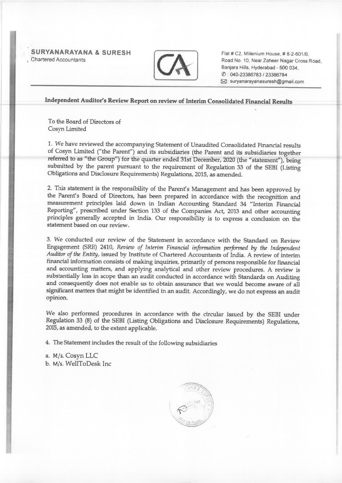SURYANARAYANA & SURESH Chartered Accountai



Flat # C2, Millenium House, # 8-2-601/B. Road No 10, Near Zaheer Nagar Cross Road, Banjara Hills. Hyderabad - <sup>500</sup> 034, (f) : 040-23386783 <sup>I</sup> <sup>23386784</sup> 121: suryanarayanasuresh@gmail.com

Independent Auditor's Review Report on review of Interim Consolidated Financial Results

To the Board of Directors of Cosyn Limited

1. We have reviewed the accompanying Statement of Unaudited Consolidated Financial results referred to as "the Group") for the quarter ended 31st December, 2020 (the "statement"), being<br>submitted by the parent pursuant to the requirement of Regulation 33 of the SEBI (Listing<br>Obligations and Disclosure Requiremen

2. 'Ibis statement is the responsibility of the Parent's Management and has been approve<sup>d</sup> by the Parent's Board of Directors, has been prepare<sup>d</sup> in accordance with the recognition and measurement principles laid down in Indian Accounting Standard <sup>34</sup> "Interim Financial Reporting", prescribed under Section <sup>133</sup> of the Companies Act, <sup>2013</sup> and other accounting principles generally accepted in India. Our responsibility is to express <sup>a</sup> conclusion on the statement based on our review.

3. We conducted our review of the Statement in accordance with the Standard on Review Engagement (SRE) 2410, Review of Interim Financial information performed by the Independent Auditor of the Entity, issued by Institute of Chartered Accountants of India. <sup>A</sup> review of interim financial information consists of making inquiries, primarily of persons responsible for financial and accounting matters, and applying analytical and other review procedures. <sup>A</sup> review is substantially less in scope than an audit conducted in accordance with Standards on Auditing and consequently does not enable us to obtain assurance that we would become aware of all significant matters that might be identified in an audit. Accordingly, we do not express an audit opinion.

We also performed procedures in accordance with the circular issued by the SEBI under Regulation <sup>33</sup> (8) of the SEBI (Listing Obligations and Disclosure Requirements) Regulations, 2015, as amended, to the extent applicable.

4. The Statement includes the result of the following subsidiaries

a. M/s. Cosyn LLC b. M/s. WellToDesk Inc

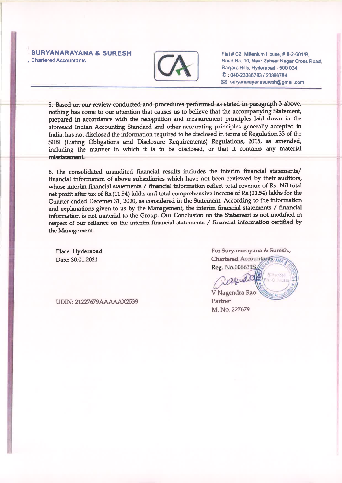#### SURYANARAYANA & SURESH Chartered Accountants



Flat# C2. Millenium House,# 8-2-601/8, Road No 10, Near Zaheer Nagar Cross Road Banjara Hills. Hyderabad - <sup>500</sup> 034, (l) • 04?23386783 / <sup>23386784</sup> ?: suryanarayanasuresh@gmail.com

5. Based on OW' review conducted and procedures performed as stated in paragrap<sup>h</sup> <sup>3</sup> above, nothing has come to our attention that causes us to believe that the accompanying Statement, prepared in accordance with the recognition and measurement principles laid down in the aforesaid Indian Accounting Standard and other accounting principles generally accepted in India, has not disclosed the information required to be disclosed in terms of Regulation <sup>33</sup> of the SEBI (Listing Obligations and Disclosure Requirements) Regulations, 2015, as amended, including the manner in which it is to be disclosed, or that it contains any material misstatement.

6. The consolidated unaudited financial results includes the interim financial statements/ financial information of above subsidiaries which have not been reviewed by their auditors, whose interim financial statements / financial information reflect total revenue of Rs. Nil total net profit after tax of Rs.(11.54) lakhs and total comprehensive income of Rs.(11.54) lakhs for the Quarter ended Decemer 31, 2020, as considered in the Statement. According to the information and explanations given to us by the Management, the interim financial statements / financial information is not material to the Group. Our Conclusion on the Statement is not modified in respec<sup>t</sup> of our reliance on the interim financial statements / financial information certified by the Management.

Place: Hyderabad Date: 30.01.2021

For Suryanarayana & Suresh., Chartered Accountants

Reg. No.0066319

V Nagendra Rac M. No. 227679

UDIN: 21227679AAAAAX2539 Partner